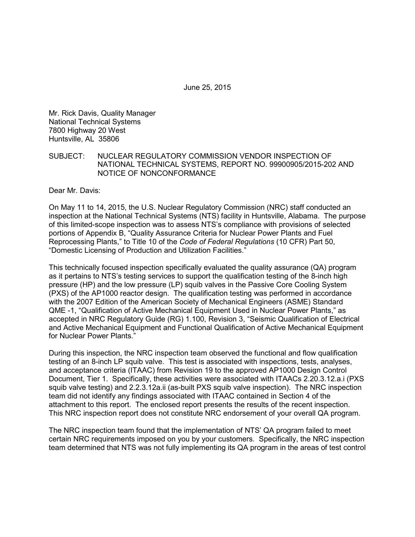June 25, 2015

Mr. Rick Davis, Quality Manager National Technical Systems 7800 Highway 20 West Huntsville, AL 35806

SUBJECT: NUCLEAR REGULATORY COMMISSION VENDOR INSPECTION OF NATIONAL TECHNICAL SYSTEMS, REPORT NO. 99900905/2015-202 AND NOTICE OF NONCONFORMANCE

Dear Mr. Davis:

On May 11 to 14, 2015, the U.S. Nuclear Regulatory Commission (NRC) staff conducted an inspection at the National Technical Systems (NTS) facility in Huntsville, Alabama. The purpose of this limited-scope inspection was to assess NTS's compliance with provisions of selected portions of Appendix B, "Quality Assurance Criteria for Nuclear Power Plants and Fuel Reprocessing Plants," to Title 10 of the *Code of Federal Regulations* (10 CFR) Part 50, "Domestic Licensing of Production and Utilization Facilities."

This technically focused inspection specifically evaluated the quality assurance (QA) program as it pertains to NTS's testing services to support the qualification testing of the 8-inch high pressure (HP) and the low pressure (LP) squib valves in the Passive Core Cooling System (PXS) of the AP1000 reactor design. The qualification testing was performed in accordance with the 2007 Edition of the American Society of Mechanical Engineers (ASME) Standard QME -1, "Qualification of Active Mechanical Equipment Used in Nuclear Power Plants," as accepted in NRC Regulatory Guide (RG) 1.100, Revision 3, "Seismic Qualification of Electrical and Active Mechanical Equipment and Functional Qualification of Active Mechanical Equipment for Nuclear Power Plants."

During this inspection, the NRC inspection team observed the functional and flow qualification testing of an 8-inch LP squib valve. This test is associated with inspections, tests, analyses, and acceptance criteria (ITAAC) from Revision 19 to the approved AP1000 Design Control Document, Tier 1. Specifically, these activities were associated with ITAACs 2.20.3.12.a.i (PXS squib valve testing) and 2.2.3.12a.ii (as-built PXS squib valve inspection). The NRC inspection team did not identify any findings associated with ITAAC contained in Section 4 of the attachment to this report. The enclosed report presents the results of the recent inspection. This NRC inspection report does not constitute NRC endorsement of your overall QA program.

The NRC inspection team found that the implementation of NTS' QA program failed to meet certain NRC requirements imposed on you by your customers. Specifically, the NRC inspection team determined that NTS was not fully implementing its QA program in the areas of test control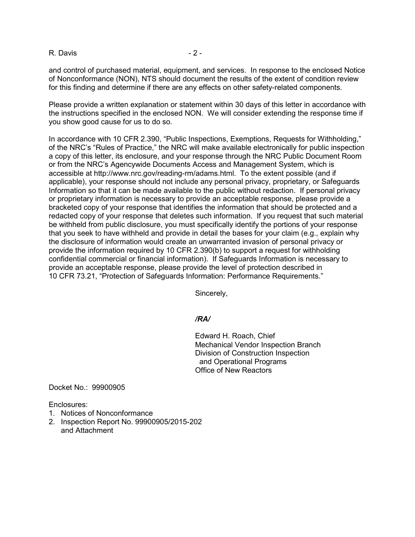R. Davis - 2 -

and control of purchased material, equipment, and services. In response to the enclosed Notice of Nonconformance (NON), NTS should document the results of the extent of condition review for this finding and determine if there are any effects on other safety-related components.

Please provide a written explanation or statement within 30 days of this letter in accordance with the instructions specified in the enclosed NON. We will consider extending the response time if you show good cause for us to do so.

In accordance with 10 CFR 2.390, "Public Inspections, Exemptions, Requests for Withholding," of the NRC's "Rules of Practice," the NRC will make available electronically for public inspection a copy of this letter, its enclosure, and your response through the NRC Public Document Room or from the NRC's Agencywide Documents Access and Management System, which is accessible at http://www.nrc.gov/reading-rm/adams.html. To the extent possible (and if applicable), your response should not include any personal privacy, proprietary, or Safeguards Information so that it can be made available to the public without redaction. If personal privacy or proprietary information is necessary to provide an acceptable response, please provide a bracketed copy of your response that identifies the information that should be protected and a redacted copy of your response that deletes such information. If you request that such material be withheld from public disclosure, you must specifically identify the portions of your response that you seek to have withheld and provide in detail the bases for your claim (e.g., explain why the disclosure of information would create an unwarranted invasion of personal privacy or provide the information required by 10 CFR 2.390(b) to support a request for withholding confidential commercial or financial information). If Safeguards Information is necessary to provide an acceptable response, please provide the level of protection described in 10 CFR 73.21, "Protection of Safeguards Information: Performance Requirements."

Sincerely,

### */RA/*

Edward H. Roach, Chief Mechanical Vendor Inspection Branch Division of Construction Inspection and Operational Programs Office of New Reactors

Docket No.: 99900905

Enclosures:

- 1. Notices of Nonconformance
- 2. Inspection Report No. 99900905/2015-202 and Attachment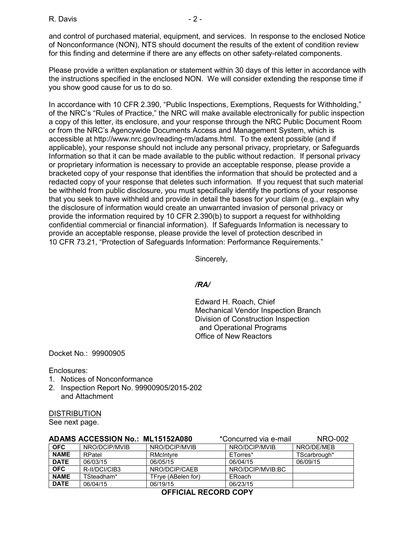and control of purchased material, equipment, and services. In response to the enclosed Notice of Nonconformance (NON), NTS should document the results of the extent of condition review for this finding and determine if there are any effects on other safety-related components.

Please provide a written explanation or statement within 30 days of this letter in accordance with the instructions specified in the enclosed NON. We will consider extending the response time if you show good cause for us to do so.

In accordance with 10 CFR 2.390, "Public Inspections, Exemptions, Requests for Withholding," of the NRC's "Rules of Practice," the NRC will make available electronically for public inspection a copy of this letter, its enclosure, and your response through the NRC Public Document Room or from the NRC's Agencywide Documents Access and Management System, which is accessible at http://www.nrc.gov/reading-rm/adams.html. To the extent possible (and if applicable), your response should not include any personal privacy, proprietary, or Safeguards Information so that it can be made available to the public without redaction. If personal privacy or proprietary information is necessary to provide an acceptable response, please provide a bracketed copy of your response that identifies the information that should be protected and a redacted copy of your response that deletes such information. If you request that such material be withheld from public disclosure, you must specifically identify the portions of your response that you seek to have withheld and provide in detail the bases for your claim (e.g., explain why the disclosure of information would create an unwarranted invasion of personal privacy or provide the information required by 10 CFR 2.390(b) to support a request for withholding confidential commercial or financial information). If Safeguards Information is necessary to provide an acceptable response, please provide the level of protection described in 10 CFR 73.21, "Protection of Safeguards Information: Performance Requirements."

Sincerely,

### */RA/*

Edward H. Roach, Chief Mechanical Vendor Inspection Branch Division of Construction Inspection and Operational Programs Office of New Reactors

Docket No.: 99900905

#### Enclosures:

- 1. Notices of Nonconformance
- 2. Inspection Report No. 99900905/2015-202 and Attachment

#### DISTRIBUTION

See next page.

| ADAMS ACCESSION No.: ML15152A080 |               | *Concurred via e-mail | NRO-002          |              |
|----------------------------------|---------------|-----------------------|------------------|--------------|
| <b>OFC</b>                       | NRO/DCIP/MVIB | NRO/DCIP/MVIB         | NRO/DCIP/MVIB    | NRO/DE/MEB   |
| <b>NAME</b>                      | RPatel        | RMcIntyre             | ETorres*         | TScarbrough* |
| <b>DATE</b>                      | 06/03/15      | 06/05/15              | 06/04/15         | 06/09/15     |
| <b>OFC</b>                       | R-II/DCI/CIB3 | NRO/DCIP/CAEB         | NRO/DCIP/MVIB:BC |              |
| <b>NAME</b>                      | TSteadham*    | TFrve (ABelen for)    | ERoach           |              |
| <b>DATE</b>                      | 06/04/15      | 06/19/15              | 06/23/15         |              |

**OFFICIAL RECORD COPY**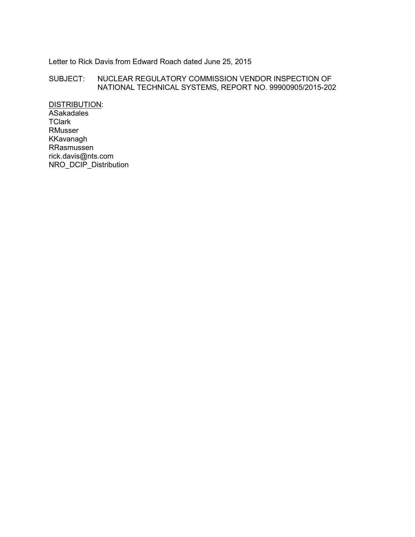#### Letter to Rick Davis from Edward Roach dated June 25, 2015

#### SUBJECT: NUCLEAR REGULATORY COMMISSION VENDOR INSPECTION OF NATIONAL TECHNICAL SYSTEMS, REPORT NO. 99900905/2015-202

DISTRIBUTION: ASakadales **TClark** RMusser KKavanagh RRasmussen rick.davis@nts.com NRO\_DCIP\_Distribution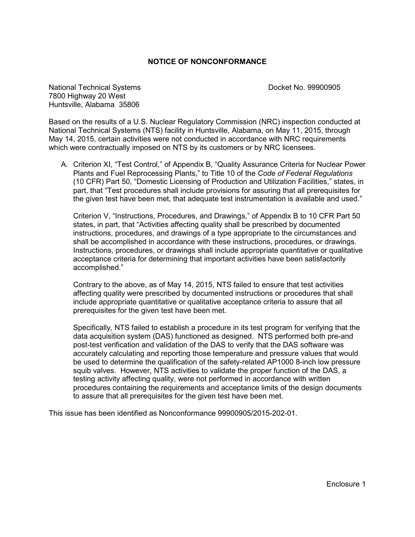#### **NOTICE OF NONCONFORMANCE**

National Technical Systems Docket No. 99900905 7800 Highway 20 West Huntsville, Alabama 35806

Based on the results of a U.S. Nuclear Regulatory Commission (NRC) inspection conducted at National Technical Systems (NTS) facility in Huntsville, Alabama, on May 11, 2015, through May 14, 2015, certain activities were not conducted in accordance with NRC requirements which were contractually imposed on NTS by its customers or by NRC licensees.

A. Criterion XI, "Test Control," of Appendix B, "Quality Assurance Criteria for Nuclear Power Plants and Fuel Reprocessing Plants," to Title 10 of the *Code of Federal Regulations*  (10 CFR) Part 50, "Domestic Licensing of Production and Utilization Facilities," states, in part, that "Test procedures shall include provisions for assuring that all prerequisites for the given test have been met, that adequate test instrumentation is available and used."

Criterion V, "Instructions, Procedures, and Drawings," of Appendix B to 10 CFR Part 50 states, in part, that "Activities affecting quality shall be prescribed by documented instructions, procedures, and drawings of a type appropriate to the circumstances and shall be accomplished in accordance with these instructions, procedures, or drawings. Instructions, procedures, or drawings shall include appropriate quantitative or qualitative acceptance criteria for determining that important activities have been satisfactorily accomplished."

Contrary to the above, as of May 14, 2015, NTS failed to ensure that test activities affecting quality were prescribed by documented instructions or procedures that shall include appropriate quantitative or qualitative acceptance criteria to assure that all prerequisites for the given test have been met.

Specifically, NTS failed to establish a procedure in its test program for verifying that the data acquisition system (DAS) functioned as designed. NTS performed both pre-and post-test verification and validation of the DAS to verify that the DAS software was accurately calculating and reporting those temperature and pressure values that would be used to determine the qualification of the safety-related AP1000 8-inch low pressure squib valves. However, NTS activities to validate the proper function of the DAS, a testing activity affecting quality, were not performed in accordance with written procedures containing the requirements and acceptance limits of the design documents to assure that all prerequisites for the given test have been met.

This issue has been identified as Nonconformance 99900905/2015-202-01.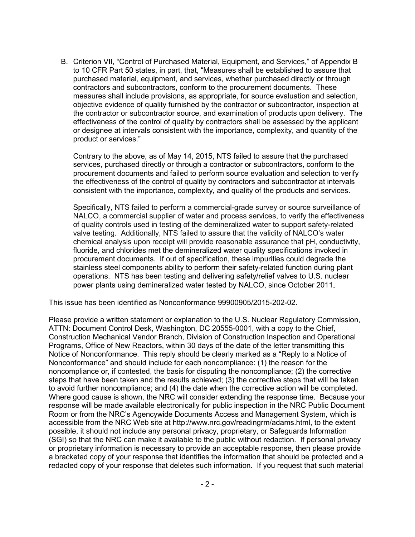B. Criterion VII, "Control of Purchased Material, Equipment, and Services," of Appendix B to 10 CFR Part 50 states, in part, that, "Measures shall be established to assure that purchased material, equipment, and services, whether purchased directly or through contractors and subcontractors, conform to the procurement documents. These measures shall include provisions, as appropriate, for source evaluation and selection, objective evidence of quality furnished by the contractor or subcontractor, inspection at the contractor or subcontractor source, and examination of products upon delivery. The effectiveness of the control of quality by contractors shall be assessed by the applicant or designee at intervals consistent with the importance, complexity, and quantity of the product or services."

Contrary to the above, as of May 14, 2015, NTS failed to assure that the purchased services, purchased directly or through a contractor or subcontractors, conform to the procurement documents and failed to perform source evaluation and selection to verify the effectiveness of the control of quality by contractors and subcontractor at intervals consistent with the importance, complexity, and quality of the products and services.

Specifically, NTS failed to perform a commercial-grade survey or source surveillance of NALCO, a commercial supplier of water and process services, to verify the effectiveness of quality controls used in testing of the demineralized water to support safety-related valve testing. Additionally, NTS failed to assure that the validity of NALCO's water chemical analysis upon receipt will provide reasonable assurance that pH, conductivity, fluoride, and chlorides met the demineralized water quality specifications invoked in procurement documents. If out of specification, these impurities could degrade the stainless steel components ability to perform their safety-related function during plant operations. NTS has been testing and delivering safety/relief valves to U.S. nuclear power plants using demineralized water tested by NALCO, since October 2011.

This issue has been identified as Nonconformance 99900905/2015-202-02.

Please provide a written statement or explanation to the U.S. Nuclear Regulatory Commission, ATTN: Document Control Desk, Washington, DC 20555-0001, with a copy to the Chief, Construction Mechanical Vendor Branch, Division of Construction Inspection and Operational Programs, Office of New Reactors, within 30 days of the date of the letter transmitting this Notice of Nonconformance. This reply should be clearly marked as a "Reply to a Notice of Nonconformance" and should include for each noncompliance: (1) the reason for the noncompliance or, if contested, the basis for disputing the noncompliance; (2) the corrective steps that have been taken and the results achieved; (3) the corrective steps that will be taken to avoid further noncompliance; and (4) the date when the corrective action will be completed. Where good cause is shown, the NRC will consider extending the response time. Because your response will be made available electronically for public inspection in the NRC Public Document Room or from the NRC's Agencywide Documents Access and Management System, which is accessible from the NRC Web site at http://www.nrc.gov/readingrm/adams.html, to the extent possible, it should not include any personal privacy, proprietary, or Safeguards Information (SGI) so that the NRC can make it available to the public without redaction. If personal privacy or proprietary information is necessary to provide an acceptable response, then please provide a bracketed copy of your response that identifies the information that should be protected and a redacted copy of your response that deletes such information. If you request that such material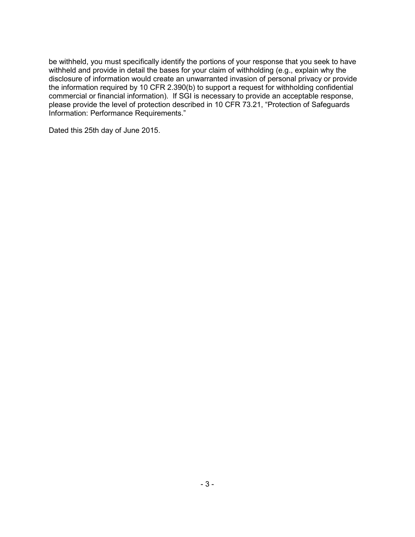be withheld, you must specifically identify the portions of your response that you seek to have withheld and provide in detail the bases for your claim of withholding (e.g., explain why the disclosure of information would create an unwarranted invasion of personal privacy or provide the information required by 10 CFR 2.390(b) to support a request for withholding confidential commercial or financial information). If SGI is necessary to provide an acceptable response, please provide the level of protection described in 10 CFR 73.21, "Protection of Safeguards Information: Performance Requirements."

Dated this 25th day of June 2015.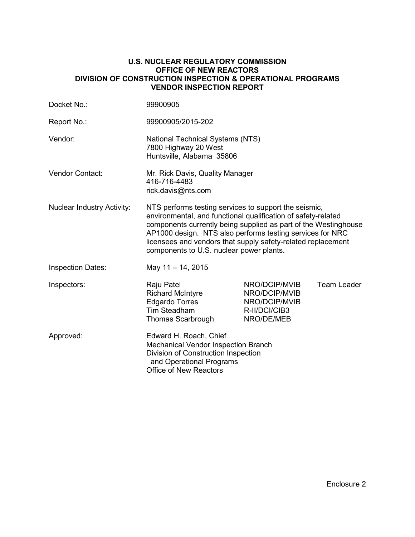#### **U.S. NUCLEAR REGULATORY COMMISSION OFFICE OF NEW REACTORS DIVISION OF CONSTRUCTION INSPECTION & OPERATIONAL PROGRAMS VENDOR INSPECTION REPORT**

| Docket No.:                       | 99900905                                                                                                                                                                                                                                                                                                                                                           |                                                                                |             |  |
|-----------------------------------|--------------------------------------------------------------------------------------------------------------------------------------------------------------------------------------------------------------------------------------------------------------------------------------------------------------------------------------------------------------------|--------------------------------------------------------------------------------|-------------|--|
| Report No.:                       | 99900905/2015-202                                                                                                                                                                                                                                                                                                                                                  |                                                                                |             |  |
| Vendor:                           | <b>National Technical Systems (NTS)</b><br>7800 Highway 20 West<br>Huntsville, Alabama 35806                                                                                                                                                                                                                                                                       |                                                                                |             |  |
| Vendor Contact:                   | Mr. Rick Davis, Quality Manager<br>416-716-4483<br>rick.davis@nts.com                                                                                                                                                                                                                                                                                              |                                                                                |             |  |
| <b>Nuclear Industry Activity:</b> | NTS performs testing services to support the seismic,<br>environmental, and functional qualification of safety-related<br>components currently being supplied as part of the Westinghouse<br>AP1000 design. NTS also performs testing services for NRC<br>licensees and vendors that supply safety-related replacement<br>components to U.S. nuclear power plants. |                                                                                |             |  |
| <b>Inspection Dates:</b>          | May 11 - 14, 2015                                                                                                                                                                                                                                                                                                                                                  |                                                                                |             |  |
| Inspectors:                       | Raju Patel<br><b>Richard McIntyre</b><br><b>Edgardo Torres</b><br><b>Tim Steadham</b><br>Thomas Scarbrough                                                                                                                                                                                                                                                         | NRO/DCIP/MVIB<br>NRO/DCIP/MVIB<br>NRO/DCIP/MVIB<br>R-II/DCI/CIB3<br>NRO/DE/MEB | Team Leader |  |
| Approved:                         | Edward H. Roach, Chief<br>Mechanical Vendor Inspection Branch<br>Division of Construction Inspection<br>and Operational Programs<br><b>Office of New Reactors</b>                                                                                                                                                                                                  |                                                                                |             |  |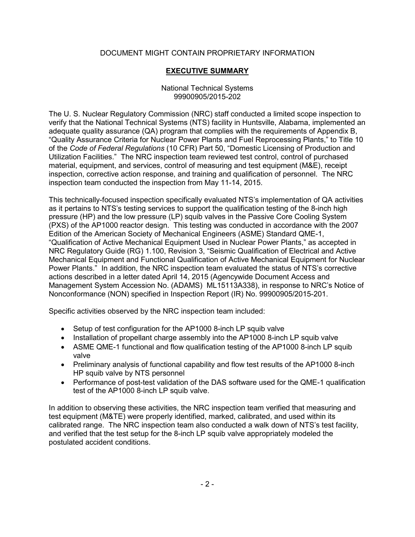## DOCUMENT MIGHT CONTAIN PROPRIETARY INFORMATION

## **EXECUTIVE SUMMARY**

#### National Technical Systems 99900905/2015-202

The U. S. Nuclear Regulatory Commission (NRC) staff conducted a limited scope inspection to verify that the National Technical Systems (NTS) facility in Huntsville, Alabama, implemented an adequate quality assurance (QA) program that complies with the requirements of Appendix B. "Quality Assurance Criteria for Nuclear Power Plants and Fuel Reprocessing Plants," to Title 10 of the *Code of Federal Regulations* (10 CFR) Part 50, "Domestic Licensing of Production and Utilization Facilities." The NRC inspection team reviewed test control, control of purchased material, equipment, and services, control of measuring and test equipment (M&E), receipt inspection, corrective action response, and training and qualification of personnel. The NRC inspection team conducted the inspection from May 11-14, 2015.

This technically-focused inspection specifically evaluated NTS's implementation of QA activities as it pertains to NTS's testing services to support the qualification testing of the 8-inch high pressure (HP) and the low pressure (LP) squib valves in the Passive Core Cooling System (PXS) of the AP1000 reactor design. This testing was conducted in accordance with the 2007 Edition of the American Society of Mechanical Engineers (ASME) Standard QME-1, "Qualification of Active Mechanical Equipment Used in Nuclear Power Plants," as accepted in NRC Regulatory Guide (RG) 1.100, Revision 3, "Seismic Qualification of Electrical and Active Mechanical Equipment and Functional Qualification of Active Mechanical Equipment for Nuclear Power Plants." In addition, the NRC inspection team evaluated the status of NTS's corrective actions described in a letter dated April 14, 2015 (Agencywide Document Access and Management System Accession No. (ADAMS) ML15113A338), in response to NRC's Notice of Nonconformance (NON) specified in Inspection Report (IR) No. 99900905/2015-201.

Specific activities observed by the NRC inspection team included:

- Setup of test configuration for the AP1000 8-inch LP squib valve
- Installation of propellant charge assembly into the AP1000 8-inch LP squib valve
- ASME QME-1 functional and flow qualification testing of the AP1000 8-inch LP squib valve
- Preliminary analysis of functional capability and flow test results of the AP1000 8-inch HP squib valve by NTS personnel
- Performance of post-test validation of the DAS software used for the QME-1 qualification test of the AP1000 8-inch LP squib valve.

In addition to observing these activities, the NRC inspection team verified that measuring and test equipment (M&TE) were properly identified, marked, calibrated, and used within its calibrated range. The NRC inspection team also conducted a walk down of NTS's test facility, and verified that the test setup for the 8-inch LP squib valve appropriately modeled the postulated accident conditions.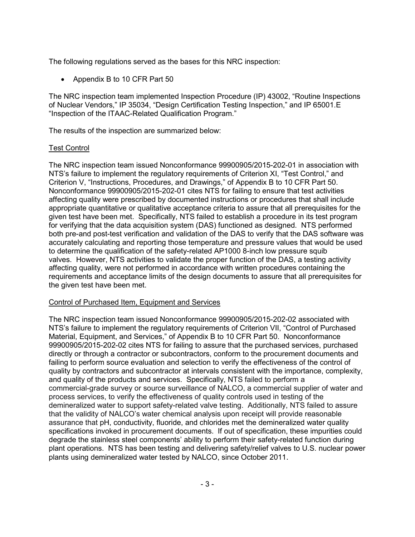The following regulations served as the bases for this NRC inspection:

• Appendix B to 10 CFR Part 50

The NRC inspection team implemented Inspection Procedure (IP) 43002, "Routine Inspections of Nuclear Vendors." IP 35034, "Design Certification Testing Inspection." and IP 65001.E "Inspection of the ITAAC-Related Qualification Program."

The results of the inspection are summarized below:

## Test Control

The NRC inspection team issued Nonconformance 99900905/2015-202-01 in association with NTS's failure to implement the regulatory requirements of Criterion XI, "Test Control," and Criterion V, "Instructions, Procedures, and Drawings," of Appendix B to 10 CFR Part 50. Nonconformance 99900905/2015-202-01 cites NTS for failing to ensure that test activities affecting quality were prescribed by documented instructions or procedures that shall include appropriate quantitative or qualitative acceptance criteria to assure that all prerequisites for the given test have been met. Specifically, NTS failed to establish a procedure in its test program for verifying that the data acquisition system (DAS) functioned as designed. NTS performed both pre-and post-test verification and validation of the DAS to verify that the DAS software was accurately calculating and reporting those temperature and pressure values that would be used to determine the qualification of the safety-related AP1000 8-inch low pressure squib valves. However, NTS activities to validate the proper function of the DAS, a testing activity affecting quality, were not performed in accordance with written procedures containing the requirements and acceptance limits of the design documents to assure that all prerequisites for the given test have been met.

### Control of Purchased Item, Equipment and Services

The NRC inspection team issued Nonconformance 99900905/2015-202-02 associated with NTS's failure to implement the regulatory requirements of Criterion VII, "Control of Purchased Material, Equipment, and Services," of Appendix B to 10 CFR Part 50. Nonconformance 99900905/2015-202-02 cites NTS for failing to assure that the purchased services, purchased directly or through a contractor or subcontractors, conform to the procurement documents and failing to perform source evaluation and selection to verify the effectiveness of the control of quality by contractors and subcontractor at intervals consistent with the importance, complexity, and quality of the products and services. Specifically, NTS failed to perform a commercial-grade survey or source surveillance of NALCO, a commercial supplier of water and process services, to verify the effectiveness of quality controls used in testing of the demineralized water to support safety-related valve testing. Additionally, NTS failed to assure that the validity of NALCO's water chemical analysis upon receipt will provide reasonable assurance that pH, conductivity, fluoride, and chlorides met the demineralized water quality specifications invoked in procurement documents. If out of specification, these impurities could degrade the stainless steel components' ability to perform their safety-related function during plant operations. NTS has been testing and delivering safety/relief valves to U.S. nuclear power plants using demineralized water tested by NALCO, since October 2011.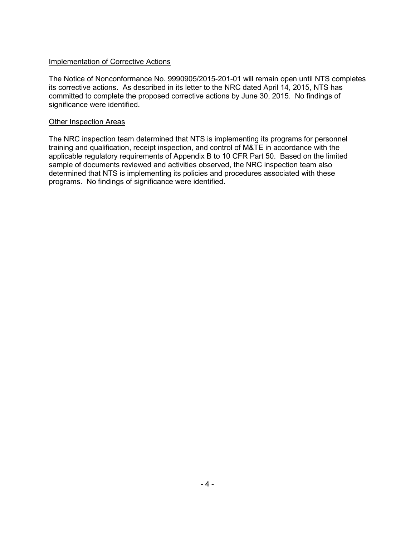#### Implementation of Corrective Actions

The Notice of Nonconformance No. 9990905/2015-201-01 will remain open until NTS completes its corrective actions. As described in its letter to the NRC dated April 14, 2015, NTS has committed to complete the proposed corrective actions by June 30, 2015. No findings of significance were identified.

#### Other Inspection Areas

The NRC inspection team determined that NTS is implementing its programs for personnel training and qualification, receipt inspection, and control of M&TE in accordance with the applicable regulatory requirements of Appendix B to 10 CFR Part 50. Based on the limited sample of documents reviewed and activities observed, the NRC inspection team also determined that NTS is implementing its policies and procedures associated with these programs. No findings of significance were identified.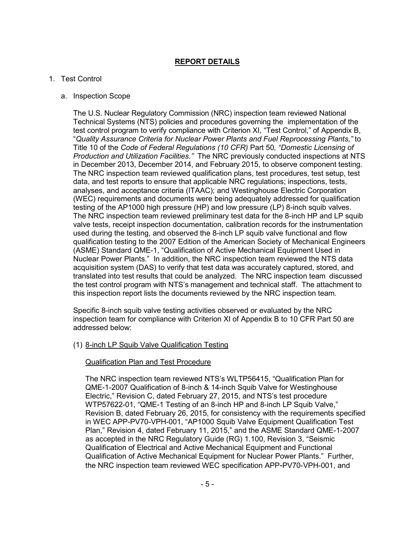## **REPORT DETAILS**

### 1. Test Control

#### a. Inspection Scope

The U.S. Nuclear Regulatory Commission (NRC) inspection team reviewed National Technical Systems (NTS) policies and procedures governing the implementation of the test control program to verify compliance with Criterion XI, "Test Control," of Appendix B, "*Quality Assurance Criteria for Nuclear Power Plants and Fuel Reprocessing Plants,"* to Title 10 of the *Code of Federal Regulations (10 CFR)* Part 50*, "Domestic Licensing of Production and Utilization Facilities."* The NRC previously conducted inspections at NTS in December 2013, December 2014, and February 2015, to observe component testing. The NRC inspection team reviewed qualification plans, test procedures, test setup, test data, and test reports to ensure that applicable NRC regulations; inspections, tests, analyses, and acceptance criteria (ITAAC); and Westinghouse Electric Corporation (WEC) requirements and documents were being adequately addressed for qualification testing of the AP1000 high pressure (HP) and low pressure (LP) 8-inch squib valves. The NRC inspection team reviewed preliminary test data for the 8-inch HP and LP squib valve tests, receipt inspection documentation, calibration records for the instrumentation used during the testing, and observed the 8-inch LP squib valve functional and flow qualification testing to the 2007 Edition of the American Society of Mechanical Engineers (ASME) Standard QME-1, "Qualification of Active Mechanical Equipment Used in Nuclear Power Plants." In addition, the NRC inspection team reviewed the NTS data acquisition system (DAS) to verify that test data was accurately captured, stored, and translated into test results that could be analyzed. The NRC inspection team discussed the test control program with NTS's management and technical staff. The attachment to this inspection report lists the documents reviewed by the NRC inspection team.

Specific 8-inch squib valve testing activities observed or evaluated by the NRC inspection team for compliance with Criterion XI of Appendix B to 10 CFR Part 50 are addressed below:

### (1) 8-inch LP Squib Valve Qualification Testing

#### Qualification Plan and Test Procedure

The NRC inspection team reviewed NTS's WLTP56415, "Qualification Plan for QME-1-2007 Qualification of 8-inch & 14-inch Squib Valve for Westinghouse Electric," Revision C, dated February 27, 2015, and NTS's test procedure WTP57622-01, "QME-1 Testing of an 8-inch HP and 8-inch LP Squib Valve," Revision B, dated February 26, 2015, for consistency with the requirements specified in WEC APP-PV70-VPH-001, "AP1000 Squib Valve Equipment Qualification Test Plan," Revision 4, dated February 11, 2015," and the ASME Standard QME-1-2007 as accepted in the NRC Regulatory Guide (RG) 1.100, Revision 3, "Seismic Qualification of Electrical and Active Mechanical Equipment and Functional Qualification of Active Mechanical Equipment for Nuclear Power Plants." Further, the NRC inspection team reviewed WEC specification APP-PV70-VPH-001, and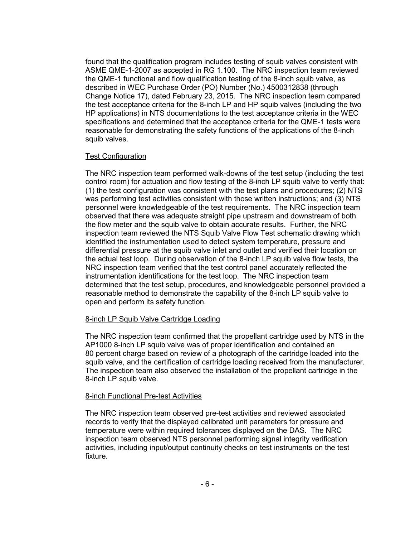found that the qualification program includes testing of squib valves consistent with ASME QME-1-2007 as accepted in RG 1.100. The NRC inspection team reviewed the QME-1 functional and flow qualification testing of the 8-inch squib valve, as described in WEC Purchase Order (PO) Number (No.) 4500312838 (through Change Notice 17), dated February 23, 2015. The NRC inspection team compared the test acceptance criteria for the 8-inch LP and HP squib valves (including the two HP applications) in NTS documentations to the test acceptance criteria in the WEC specifications and determined that the acceptance criteria for the QME-1 tests were reasonable for demonstrating the safety functions of the applications of the 8-inch squib valves.

#### Test Configuration

The NRC inspection team performed walk-downs of the test setup (including the test control room) for actuation and flow testing of the 8-inch LP squib valve to verify that: (1) the test configuration was consistent with the test plans and procedures; (2) NTS was performing test activities consistent with those written instructions; and (3) NTS personnel were knowledgeable of the test requirements. The NRC inspection team observed that there was adequate straight pipe upstream and downstream of both the flow meter and the squib valve to obtain accurate results. Further, the NRC inspection team reviewed the NTS Squib Valve Flow Test schematic drawing which identified the instrumentation used to detect system temperature, pressure and differential pressure at the squib valve inlet and outlet and verified their location on the actual test loop. During observation of the 8-inch LP squib valve flow tests, the NRC inspection team verified that the test control panel accurately reflected the instrumentation identifications for the test loop. The NRC inspection team determined that the test setup, procedures, and knowledgeable personnel provided a reasonable method to demonstrate the capability of the 8-inch LP squib valve to open and perform its safety function.

### 8-inch LP Squib Valve Cartridge Loading

The NRC inspection team confirmed that the propellant cartridge used by NTS in the AP1000 8-inch LP squib valve was of proper identification and contained an 80 percent charge based on review of a photograph of the cartridge loaded into the squib valve, and the certification of cartridge loading received from the manufacturer. The inspection team also observed the installation of the propellant cartridge in the 8-inch LP squib valve.

### 8-inch Functional Pre-test Activities

The NRC inspection team observed pre-test activities and reviewed associated records to verify that the displayed calibrated unit parameters for pressure and temperature were within required tolerances displayed on the DAS. The NRC inspection team observed NTS personnel performing signal integrity verification activities, including input/output continuity checks on test instruments on the test fixture.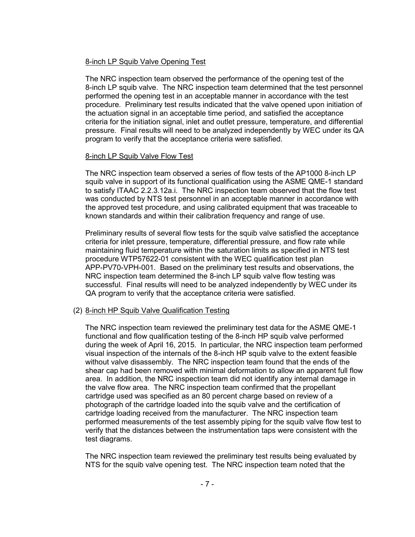### 8-inch LP Squib Valve Opening Test

The NRC inspection team observed the performance of the opening test of the 8-inch LP squib valve. The NRC inspection team determined that the test personnel performed the opening test in an acceptable manner in accordance with the test procedure. Preliminary test results indicated that the valve opened upon initiation of the actuation signal in an acceptable time period, and satisfied the acceptance criteria for the initiation signal, inlet and outlet pressure, temperature, and differential pressure. Final results will need to be analyzed independently by WEC under its QA program to verify that the acceptance criteria were satisfied.

#### 8-inch LP Squib Valve Flow Test

The NRC inspection team observed a series of flow tests of the AP1000 8-inch LP squib valve in support of its functional qualification using the ASME QME-1 standard to satisfy ITAAC 2.2.3.12a.i. The NRC inspection team observed that the flow test was conducted by NTS test personnel in an acceptable manner in accordance with the approved test procedure, and using calibrated equipment that was traceable to known standards and within their calibration frequency and range of use.

Preliminary results of several flow tests for the squib valve satisfied the acceptance criteria for inlet pressure, temperature, differential pressure, and flow rate while maintaining fluid temperature within the saturation limits as specified in NTS test procedure WTP57622-01 consistent with the WEC qualification test plan APP-PV70-VPH-001. Based on the preliminary test results and observations, the NRC inspection team determined the 8-inch LP squib valve flow testing was successful. Final results will need to be analyzed independently by WEC under its QA program to verify that the acceptance criteria were satisfied.

### (2) 8-inch HP Squib Valve Qualification Testing

The NRC inspection team reviewed the preliminary test data for the ASME QME-1 functional and flow qualification testing of the 8-inch HP squib valve performed during the week of April 16, 2015. In particular, the NRC inspection team performed visual inspection of the internals of the 8-inch HP squib valve to the extent feasible without valve disassembly. The NRC inspection team found that the ends of the shear cap had been removed with minimal deformation to allow an apparent full flow area. In addition, the NRC inspection team did not identify any internal damage in the valve flow area. The NRC inspection team confirmed that the propellant cartridge used was specified as an 80 percent charge based on review of a photograph of the cartridge loaded into the squib valve and the certification of cartridge loading received from the manufacturer. The NRC inspection team performed measurements of the test assembly piping for the squib valve flow test to verify that the distances between the instrumentation taps were consistent with the test diagrams.

The NRC inspection team reviewed the preliminary test results being evaluated by NTS for the squib valve opening test. The NRC inspection team noted that the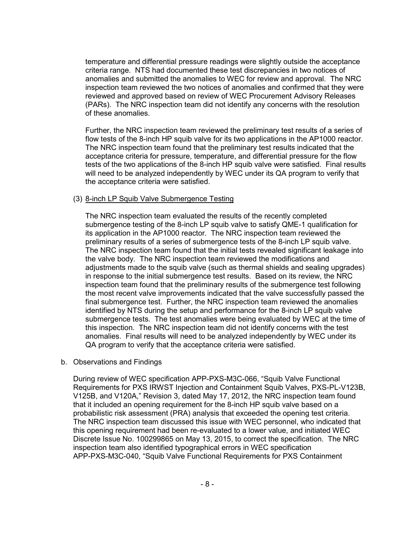temperature and differential pressure readings were slightly outside the acceptance criteria range. NTS had documented these test discrepancies in two notices of anomalies and submitted the anomalies to WEC for review and approval. The NRC inspection team reviewed the two notices of anomalies and confirmed that they were reviewed and approved based on review of WEC Procurement Advisory Releases (PARs). The NRC inspection team did not identify any concerns with the resolution of these anomalies.

Further, the NRC inspection team reviewed the preliminary test results of a series of flow tests of the 8-inch HP squib valve for its two applications in the AP1000 reactor. The NRC inspection team found that the preliminary test results indicated that the acceptance criteria for pressure, temperature, and differential pressure for the flow tests of the two applications of the 8-inch HP squib valve were satisfied. Final results will need to be analyzed independently by WEC under its QA program to verify that the acceptance criteria were satisfied.

#### (3) 8-inch LP Squib Valve Submergence Testing

The NRC inspection team evaluated the results of the recently completed submergence testing of the 8-inch LP squib valve to satisfy QME-1 qualification for its application in the AP1000 reactor. The NRC inspection team reviewed the preliminary results of a series of submergence tests of the 8-inch LP squib valve. The NRC inspection team found that the initial tests revealed significant leakage into the valve body. The NRC inspection team reviewed the modifications and adjustments made to the squib valve (such as thermal shields and sealing upgrades) in response to the initial submergence test results. Based on its review, the NRC inspection team found that the preliminary results of the submergence test following the most recent valve improvements indicated that the valve successfully passed the final submergence test. Further, the NRC inspection team reviewed the anomalies identified by NTS during the setup and performance for the 8-inch LP squib valve submergence tests. The test anomalies were being evaluated by WEC at the time of this inspection. The NRC inspection team did not identify concerns with the test anomalies. Final results will need to be analyzed independently by WEC under its QA program to verify that the acceptance criteria were satisfied.

### b. Observations and Findings

During review of WEC specification APP-PXS-M3C-066, "Squib Valve Functional Requirements for PXS IRWST Injection and Containment Squib Valves, PXS-PL-V123B, V125B, and V120A," Revision 3, dated May 17, 2012, the NRC inspection team found that it included an opening requirement for the 8-inch HP squib valve based on a probabilistic risk assessment (PRA) analysis that exceeded the opening test criteria. The NRC inspection team discussed this issue with WEC personnel, who indicated that this opening requirement had been re-evaluated to a lower value, and initiated WEC Discrete Issue No. 100299865 on May 13, 2015, to correct the specification. The NRC inspection team also identified typographical errors in WEC specification APP-PXS-M3C-040, "Squib Valve Functional Requirements for PXS Containment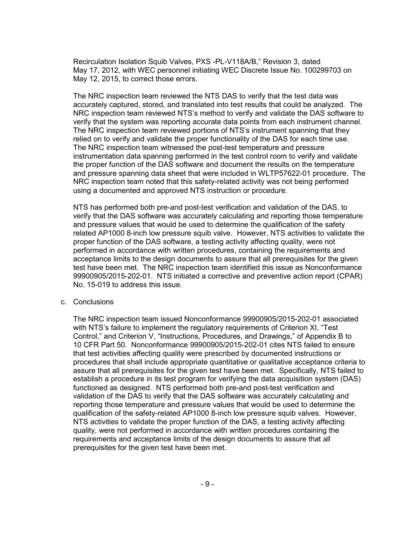Recirculation Isolation Squib Valves, PXS -PL-V118A/B," Revision 3, dated May 17, 2012, with WEC personnel initiating WEC Discrete Issue No. 100299703 on May 12, 2015, to correct those errors.

The NRC inspection team reviewed the NTS DAS to verify that the test data was accurately captured, stored, and translated into test results that could be analyzed. The NRC inspection team reviewed NTS's method to verify and validate the DAS software to verify that the system was reporting accurate data points from each instrument channel. The NRC inspection team reviewed portions of NTS's instrument spanning that they relied on to verify and validate the proper functionality of the DAS for each time use. The NRC inspection team witnessed the post-test temperature and pressure instrumentation data spanning performed in the test control room to verify and validate the proper function of the DAS software and document the results on the temperature and pressure spanning data sheet that were included in WLTP57622-01 procedure. The NRC inspection team noted that this safety-related activity was not being performed using a documented and approved NTS instruction or procedure.

NTS has performed both pre-and post-test verification and validation of the DAS, to verify that the DAS software was accurately calculating and reporting those temperature and pressure values that would be used to determine the qualification of the safety related AP1000 8-inch low pressure squib valve. However, NTS activities to validate the proper function of the DAS software, a testing activity affecting quality, were not performed in accordance with written procedures, containing the requirements and acceptance limits to the design documents to assure that all prerequisites for the given test have been met. The NRC inspection team identified this issue as Nonconformance 99900905/2015-202-01. NTS initiated a corrective and preventive action report (CPAR) No. 15-019 to address this issue.

#### c. Conclusions

The NRC inspection team issued Nonconformance 99900905/2015-202-01 associated with NTS's failure to implement the regulatory requirements of Criterion XI, "Test Control," and Criterion V, "Instructions, Procedures, and Drawings," of Appendix B to 10 CFR Part 50. Nonconformance 99900905/2015-202-01 cites NTS failed to ensure that test activities affecting quality were prescribed by documented instructions or procedures that shall include appropriate quantitative or qualitative acceptance criteria to assure that all prerequisites for the given test have been met. Specifically, NTS failed to establish a procedure in its test program for verifying the data acquisition system (DAS) functioned as designed. NTS performed both pre-and post-test verification and validation of the DAS to verify that the DAS software was accurately calculating and reporting those temperature and pressure values that would be used to determine the qualification of the safety-related AP1000 8-inch low pressure squib valves. However, NTS activities to validate the proper function of the DAS, a testing activity affecting quality, were not performed in accordance with written procedures containing the requirements and acceptance limits of the design documents to assure that all prerequisites for the given test have been met.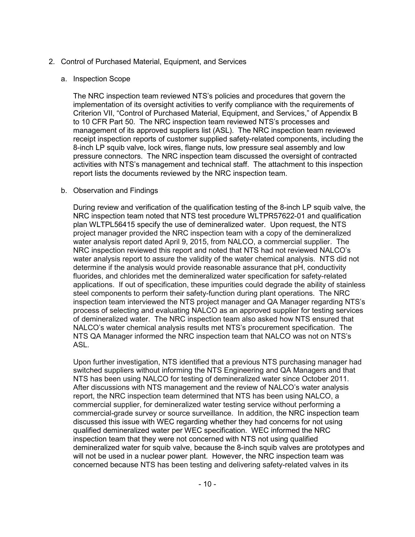### 2. Control of Purchased Material, Equipment, and Services

#### a. Inspection Scope

The NRC inspection team reviewed NTS's policies and procedures that govern the implementation of its oversight activities to verify compliance with the requirements of Criterion VII, "Control of Purchased Material, Equipment, and Services," of Appendix B to 10 CFR Part 50. The NRC inspection team reviewed NTS's processes and management of its approved suppliers list (ASL). The NRC inspection team reviewed receipt inspection reports of customer supplied safety-related components, including the 8-inch LP squib valve, lock wires, flange nuts, low pressure seal assembly and low pressure connectors. The NRC inspection team discussed the oversight of contracted activities with NTS's management and technical staff. The attachment to this inspection report lists the documents reviewed by the NRC inspection team.

#### b. Observation and Findings

During review and verification of the qualification testing of the 8-inch LP squib valve, the NRC inspection team noted that NTS test procedure WLTPR57622-01 and qualification plan WLTPL56415 specify the use of demineralized water. Upon request, the NTS project manager provided the NRC inspection team with a copy of the demineralized water analysis report dated April 9, 2015, from NALCO, a commercial supplier. The NRC inspection reviewed this report and noted that NTS had not reviewed NALCO's water analysis report to assure the validity of the water chemical analysis. NTS did not determine if the analysis would provide reasonable assurance that pH, conductivity fluorides, and chlorides met the demineralized water specification for safety-related applications. If out of specification, these impurities could degrade the ability of stainless steel components to perform their safety-function during plant operations. The NRC inspection team interviewed the NTS project manager and QA Manager regarding NTS's process of selecting and evaluating NALCO as an approved supplier for testing services of demineralized water. The NRC inspection team also asked how NTS ensured that NALCO's water chemical analysis results met NTS's procurement specification. The NTS QA Manager informed the NRC inspection team that NALCO was not on NTS's ASL.

Upon further investigation, NTS identified that a previous NTS purchasing manager had switched suppliers without informing the NTS Engineering and QA Managers and that NTS has been using NALCO for testing of demineralized water since October 2011. After discussions with NTS management and the review of NALCO's water analysis report, the NRC inspection team determined that NTS has been using NALCO, a commercial supplier, for demineralized water testing service without performing a commercial-grade survey or source surveillance. In addition, the NRC inspection team discussed this issue with WEC regarding whether they had concerns for not using qualified demineralized water per WEC specification. WEC informed the NRC inspection team that they were not concerned with NTS not using qualified demineralized water for squib valve, because the 8-inch squib valves are prototypes and will not be used in a nuclear power plant. However, the NRC inspection team was concerned because NTS has been testing and delivering safety-related valves in its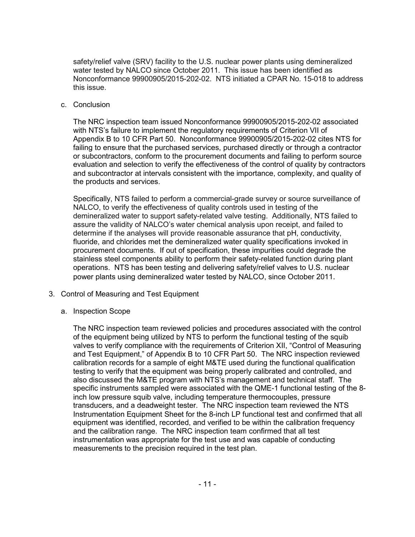safety/relief valve (SRV) facility to the U.S. nuclear power plants using demineralized water tested by NALCO since October 2011. This issue has been identified as Nonconformance 99900905/2015-202-02. NTS initiated a CPAR No. 15-018 to address this issue.

#### c. Conclusion

The NRC inspection team issued Nonconformance 99900905/2015-202-02 associated with NTS's failure to implement the regulatory requirements of Criterion VII of Appendix B to 10 CFR Part 50. Nonconformance 99900905/2015-202-02 cites NTS for failing to ensure that the purchased services, purchased directly or through a contractor or subcontractors, conform to the procurement documents and failing to perform source evaluation and selection to verify the effectiveness of the control of quality by contractors and subcontractor at intervals consistent with the importance, complexity, and quality of the products and services.

Specifically, NTS failed to perform a commercial-grade survey or source surveillance of NALCO, to verify the effectiveness of quality controls used in testing of the demineralized water to support safety-related valve testing. Additionally, NTS failed to assure the validity of NALCO's water chemical analysis upon receipt, and failed to determine if the analyses will provide reasonable assurance that pH, conductivity, fluoride, and chlorides met the demineralized water quality specifications invoked in procurement documents. If out of specification, these impurities could degrade the stainless steel components ability to perform their safety-related function during plant operations. NTS has been testing and delivering safety/relief valves to U.S. nuclear power plants using demineralized water tested by NALCO, since October 2011.

- 3. Control of Measuring and Test Equipment
	- a. Inspection Scope

The NRC inspection team reviewed policies and procedures associated with the control of the equipment being utilized by NTS to perform the functional testing of the squib valves to verify compliance with the requirements of Criterion XII, "Control of Measuring and Test Equipment," of Appendix B to 10 CFR Part 50. The NRC inspection reviewed calibration records for a sample of eight M&TE used during the functional qualification testing to verify that the equipment was being properly calibrated and controlled, and also discussed the M&TE program with NTS's management and technical staff. The specific instruments sampled were associated with the QME-1 functional testing of the 8 inch low pressure squib valve, including temperature thermocouples, pressure transducers, and a deadweight tester. The NRC inspection team reviewed the NTS Instrumentation Equipment Sheet for the 8-inch LP functional test and confirmed that all equipment was identified, recorded, and verified to be within the calibration frequency and the calibration range. The NRC inspection team confirmed that all test instrumentation was appropriate for the test use and was capable of conducting measurements to the precision required in the test plan.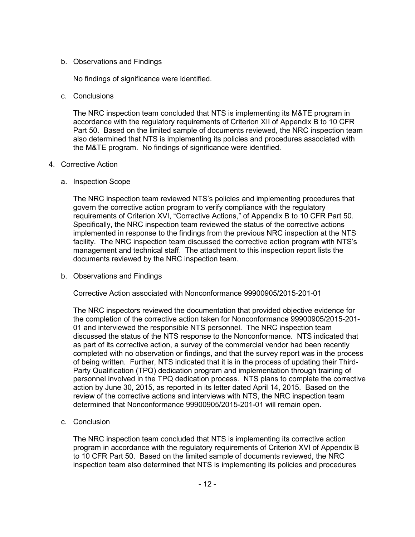### b. Observations and Findings

No findings of significance were identified.

c. Conclusions

The NRC inspection team concluded that NTS is implementing its M&TE program in accordance with the regulatory requirements of Criterion XII of Appendix B to 10 CFR Part 50. Based on the limited sample of documents reviewed, the NRC inspection team also determined that NTS is implementing its policies and procedures associated with the M&TE program. No findings of significance were identified.

## 4. Corrective Action

a. Inspection Scope

The NRC inspection team reviewed NTS's policies and implementing procedures that govern the corrective action program to verify compliance with the regulatory requirements of Criterion XVI, "Corrective Actions," of Appendix B to 10 CFR Part 50. Specifically, the NRC inspection team reviewed the status of the corrective actions implemented in response to the findings from the previous NRC inspection at the NTS facility. The NRC inspection team discussed the corrective action program with NTS's management and technical staff. The attachment to this inspection report lists the documents reviewed by the NRC inspection team.

b. Observations and Findings

## Corrective Action associated with Nonconformance 99900905/2015-201-01

The NRC inspectors reviewed the documentation that provided objective evidence for the completion of the corrective action taken for Nonconformance 99900905/2015-201- 01 and interviewed the responsible NTS personnel. The NRC inspection team discussed the status of the NTS response to the Nonconformance. NTS indicated that as part of its corrective action, a survey of the commercial vendor had been recently completed with no observation or findings, and that the survey report was in the process of being written. Further, NTS indicated that it is in the process of updating their Third-Party Qualification (TPQ) dedication program and implementation through training of personnel involved in the TPQ dedication process. NTS plans to complete the corrective action by June 30, 2015, as reported in its letter dated April 14, 2015. Based on the review of the corrective actions and interviews with NTS, the NRC inspection team determined that Nonconformance 99900905/2015-201-01 will remain open.

c. Conclusion

The NRC inspection team concluded that NTS is implementing its corrective action program in accordance with the regulatory requirements of Criterion XVI of Appendix B to 10 CFR Part 50. Based on the limited sample of documents reviewed, the NRC inspection team also determined that NTS is implementing its policies and procedures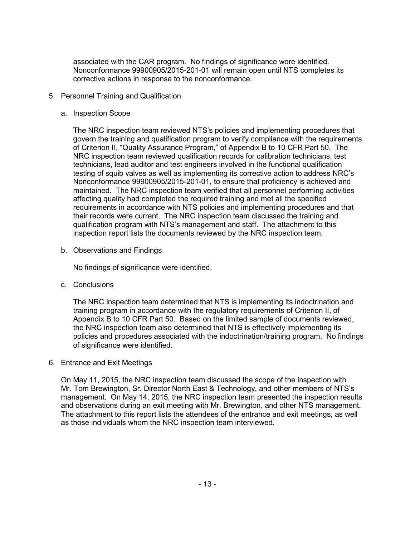associated with the CAR program. No findings of significance were identified. Nonconformance 99900905/2015-201-01 will remain open until NTS completes its corrective actions in response to the nonconformance.

- 5. Personnel Training and Qualification
	- a. Inspection Scope

The NRC inspection team reviewed NTS's policies and implementing procedures that govern the training and qualification program to verify compliance with the requirements of Criterion II, "Quality Assurance Program," of Appendix B to 10 CFR Part 50. The NRC inspection team reviewed qualification records for calibration technicians, test technicians, lead auditor and test engineers involved in the functional qualification testing of squib valves as well as implementing its corrective action to address NRC's Nonconformance 99900905/2015-201-01, to ensure that proficiency is achieved and maintained. The NRC inspection team verified that all personnel performing activities affecting quality had completed the required training and met all the specified requirements in accordance with NTS policies and implementing procedures and that their records were current. The NRC inspection team discussed the training and qualification program with NTS's management and staff. The attachment to this inspection report lists the documents reviewed by the NRC inspection team.

b. Observations and Findings

No findings of significance were identified.

c. Conclusions

The NRC inspection team determined that NTS is implementing its indoctrination and training program in accordance with the regulatory requirements of Criterion II, of Appendix B to 10 CFR Part 50. Based on the limited sample of documents reviewed, the NRC inspection team also determined that NTS is effectively implementing its policies and procedures associated with the indoctrination/training program. No findings of significance were identified.

6. Entrance and Exit Meetings

On May 11, 2015, the NRC inspection team discussed the scope of the inspection with Mr. Tom Brewington, Sr. Director North East & Technology, and other members of NTS's management. On May 14, 2015, the NRC inspection team presented the inspection results and observations during an exit meeting with Mr. Brewington, and other NTS management. The attachment to this report lists the attendees of the entrance and exit meetings, as well as those individuals whom the NRC inspection team interviewed.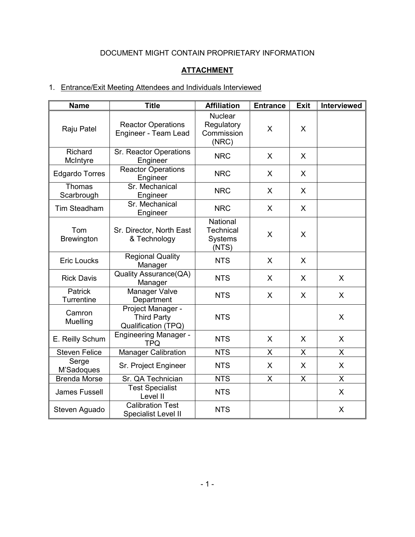# DOCUMENT MIGHT CONTAIN PROPRIETARY INFORMATION

## **ATTACHMENT**

# 1. Entrance/Exit Meeting Attendees and Individuals Interviewed

| <b>Name</b>                  | <b>Title</b>                                                   | <b>Affiliation</b>                                      | <b>Entrance</b> | <b>Exit</b> | Interviewed  |
|------------------------------|----------------------------------------------------------------|---------------------------------------------------------|-----------------|-------------|--------------|
| Raju Patel                   | <b>Reactor Operations</b><br>Engineer - Team Lead              | <b>Nuclear</b><br>Regulatory<br>Commission<br>(NRC)     | X               | X           |              |
| Richard<br>McIntyre          | Sr. Reactor Operations<br>Engineer                             | <b>NRC</b>                                              | X               | X           |              |
| <b>Edgardo Torres</b>        | <b>Reactor Operations</b><br>Engineer                          | <b>NRC</b>                                              | X               | X           |              |
| Thomas<br>Scarbrough         | Sr. Mechanical<br>Engineer                                     | <b>NRC</b>                                              | X               | X           |              |
| Tim Steadham                 | Sr. Mechanical<br>Engineer                                     | <b>NRC</b>                                              | $\mathsf{X}$    | X           |              |
| Tom<br><b>Brewington</b>     | Sr. Director, North East<br>& Technology                       | National<br><b>Technical</b><br><b>Systems</b><br>(NTS) | X               | X           |              |
| <b>Eric Loucks</b>           | <b>Regional Quality</b><br>Manager                             | <b>NTS</b>                                              | X               | X           |              |
| <b>Rick Davis</b>            | Quality Assurance(QA)<br>Manager                               | <b>NTS</b>                                              | X               | X           | X            |
| <b>Patrick</b><br>Turrentine | Manager Valve<br>Department                                    | <b>NTS</b>                                              | $\mathsf{X}$    | X           | X            |
| Camron<br>Muelling           | Project Manager -<br><b>Third Party</b><br>Qualification (TPQ) | <b>NTS</b>                                              |                 |             | X            |
| E. Reilly Schum              | <b>Engineering Manager -</b><br><b>TPQ</b>                     | <b>NTS</b>                                              | X               | X           | X            |
| <b>Steven Felice</b>         | <b>Manager Calibration</b>                                     | <b>NTS</b>                                              | X               | X           | X            |
| Serge<br>M'Sadoques          | Sr. Project Engineer                                           | <b>NTS</b>                                              | X               | X           | X            |
| <b>Brenda Morse</b>          | Sr. QA Technician                                              | <b>NTS</b>                                              | X               | X           | X            |
| James Fussell                | <b>Test Specialist</b><br>Level II                             | <b>NTS</b>                                              |                 |             | $\mathsf{X}$ |
| Steven Aguado                | <b>Calibration Test</b><br>Specialist Level II                 | <b>NTS</b>                                              |                 |             | X            |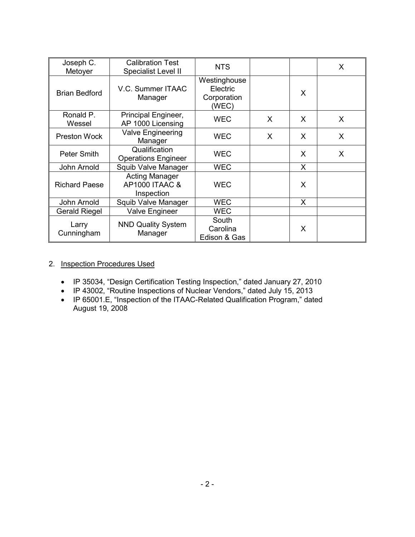| Joseph C.<br>Metoyer | <b>Calibration Test</b><br>Specialist Level II                   | <b>NTS</b>                                       |   |   | X |
|----------------------|------------------------------------------------------------------|--------------------------------------------------|---|---|---|
| <b>Brian Bedford</b> | V.C. Summer ITAAC<br>Manager                                     | Westinghouse<br>Electric<br>Corporation<br>(WEC) |   | X |   |
| Ronald P.<br>Wessel  | Principal Engineer,<br>AP 1000 Licensing                         | <b>WEC</b>                                       | X | X | X |
| <b>Preston Wock</b>  | Valve Engineering<br>Manager                                     | <b>WEC</b>                                       | X | X | X |
| <b>Peter Smith</b>   | Qualification<br><b>Operations Engineer</b>                      | <b>WEC</b>                                       |   | X | X |
| John Arnold          | Squib Valve Manager                                              | <b>WEC</b>                                       |   | X |   |
| <b>Richard Paese</b> | <b>Acting Manager</b><br><b>AP1000 ITAAC &amp;</b><br>Inspection | <b>WEC</b>                                       |   | X |   |
| John Arnold          | Squib Valve Manager                                              | <b>WEC</b>                                       |   | X |   |
| <b>Gerald Riegel</b> | Valve Engineer                                                   | <b>WEC</b>                                       |   |   |   |
| Larry<br>Cunningham  | <b>NND Quality System</b><br>Manager                             | South<br>Carolina<br>Edison & Gas                |   | X |   |

## 2. Inspection Procedures Used

- IP 35034, "Design Certification Testing Inspection," dated January 27, 2010
- IP 43002, "Routine Inspections of Nuclear Vendors," dated July 15, 2013
- IP 65001.E, "Inspection of the ITAAC-Related Qualification Program," dated August 19, 2008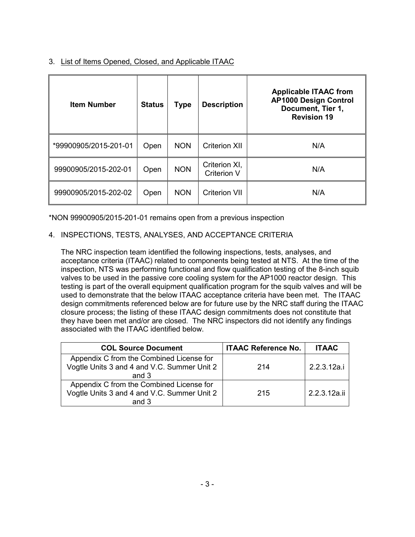3. List of Items Opened, Closed, and Applicable ITAAC

| <b>Item Number</b>    | <b>Status</b> | Type       | <b>Description</b>                  | <b>Applicable ITAAC from</b><br><b>AP1000 Design Control</b><br>Document, Tier 1,<br><b>Revision 19</b> |
|-----------------------|---------------|------------|-------------------------------------|---------------------------------------------------------------------------------------------------------|
| *99900905/2015-201-01 | Open          | <b>NON</b> | <b>Criterion XII</b>                | N/A                                                                                                     |
| 99900905/2015-202-01  | Open          | <b>NON</b> | Criterion XI,<br><b>Criterion V</b> | N/A                                                                                                     |
| 99900905/2015-202-02  | Open          | <b>NON</b> | <b>Criterion VII</b>                | N/A                                                                                                     |

\*NON 99900905/2015-201-01 remains open from a previous inspection

## 4. INSPECTIONS, TESTS, ANALYSES, AND ACCEPTANCE CRITERIA

The NRC inspection team identified the following inspections, tests, analyses, and acceptance criteria (ITAAC) related to components being tested at NTS. At the time of the inspection, NTS was performing functional and flow qualification testing of the 8-inch squib valves to be used in the passive core cooling system for the AP1000 reactor design. This testing is part of the overall equipment qualification program for the squib valves and will be used to demonstrate that the below ITAAC acceptance criteria have been met. The ITAAC design commitments referenced below are for future use by the NRC staff during the ITAAC closure process; the listing of these ITAAC design commitments does not constitute that they have been met and/or are closed. The NRC inspectors did not identify any findings associated with the ITAAC identified below.

| <b>COL Source Document</b>                                                                       | <b>ITAAC Reference No.</b> | <b>ITAAC</b> |
|--------------------------------------------------------------------------------------------------|----------------------------|--------------|
| Appendix C from the Combined License for<br>Vogtle Units 3 and 4 and V.C. Summer Unit 2<br>and 3 | 214                        | 2.2.3.12a.i  |
| Appendix C from the Combined License for<br>Vogtle Units 3 and 4 and V.C. Summer Unit 2<br>and 3 | 215                        | 2.2.3.12a.ii |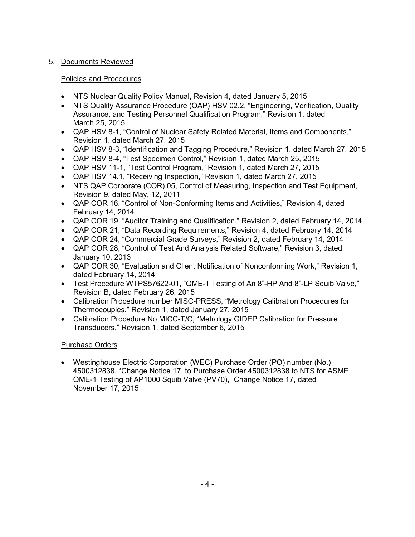## 5. Documents Reviewed

## Policies and Procedures

- NTS Nuclear Quality Policy Manual, Revision 4, dated January 5, 2015
- NTS Quality Assurance Procedure (QAP) HSV 02.2, "Engineering, Verification, Quality Assurance, and Testing Personnel Qualification Program," Revision 1, dated March 25, 2015
- QAP HSV 8-1, "Control of Nuclear Safety Related Material, Items and Components," Revision 1, dated March 27, 2015
- QAP HSV 8-3, "Identification and Tagging Procedure," Revision 1, dated March 27, 2015
- QAP HSV 8-4, "Test Specimen Control," Revision 1, dated March 25, 2015
- QAP HSV 11-1, "Test Control Program," Revision 1, dated March 27, 2015
- QAP HSV 14.1, "Receiving Inspection," Revision 1, dated March 27, 2015
- NTS QAP Corporate (COR) 05, Control of Measuring, Inspection and Test Equipment, Revision 9, dated May, 12, 2011
- QAP COR 16, "Control of Non-Conforming Items and Activities," Revision 4, dated February 14, 2014
- QAP COR 19, "Auditor Training and Qualification," Revision 2, dated February 14, 2014
- QAP COR 21, "Data Recording Requirements," Revision 4, dated February 14, 2014
- QAP COR 24, "Commercial Grade Surveys," Revision 2, dated February 14, 2014
- QAP COR 28, "Control of Test And Analysis Related Software," Revision 3, dated January 10, 2013
- QAP COR 30, "Evaluation and Client Notification of Nonconforming Work," Revision 1, dated February 14, 2014
- Test Procedure WTPS57622-01, "QME-1 Testing of An 8"-HP And 8"-LP Squib Valve," Revision B, dated February 26, 2015
- Calibration Procedure number MISC-PRESS, "Metrology Calibration Procedures for Thermocouples," Revision 1, dated January 27, 2015
- Calibration Procedure No MICC-T/C, "Metrology GIDEP Calibration for Pressure Transducers," Revision 1, dated September 6, 2015

# Purchase Orders

• Westinghouse Electric Corporation (WEC) Purchase Order (PO) number (No.) 4500312838, "Change Notice 17, to Purchase Order 4500312838 to NTS for ASME QME-1 Testing of AP1000 Squib Valve (PV70)," Change Notice 17, dated November 17, 2015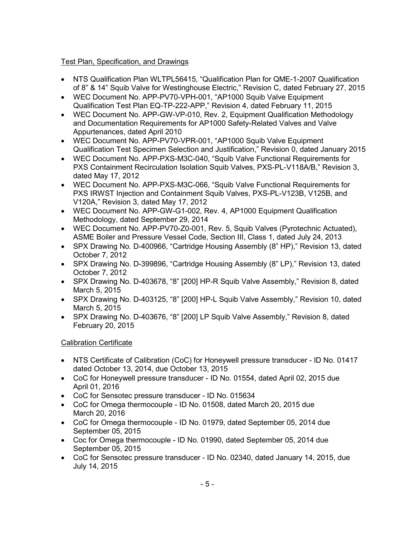## Test Plan, Specification, and Drawings

- NTS Qualification Plan WLTPL56415, "Qualification Plan for QME-1-2007 Qualification of 8" & 14" Squib Valve for Westinghouse Electric," Revision C, dated February 27, 2015
- WEC Document No. APP-PV70-VPH-001, "AP1000 Squib Valve Equipment Qualification Test Plan EQ-TP-222-APP," Revision 4, dated February 11, 2015
- WEC Document No. APP-GW-VP-010, Rev. 2, Equipment Qualification Methodology and Documentation Requirements for AP1000 Safety-Related Valves and Valve Appurtenances, dated April 2010
- WEC Document No. APP-PV70-VPR-001, "AP1000 Squib Valve Equipment Qualification Test Specimen Selection and Justification," Revision 0, dated January 2015
- WEC Document No. APP-PXS-M3C-040, "Squib Valve Functional Requirements for PXS Containment Recirculation Isolation Squib Valves, PXS-PL-V118A/B," Revision 3, dated May 17, 2012
- WEC Document No. APP-PXS-M3C-066, "Squib Valve Functional Requirements for PXS IRWST Injection and Containment Squib Valves, PXS-PL-V123B, V125B, and V120A," Revision 3, dated May 17, 2012
- WEC Document No. APP-GW-G1-002, Rev. 4, AP1000 Equipment Qualification Methodology, dated September 29, 2014
- WEC Document No. APP-PV70-Z0-001, Rev. 5, Squib Valves (Pyrotechnic Actuated), ASME Boiler and Pressure Vessel Code, Section III, Class 1, dated July 24, 2013
- SPX Drawing No. D-400966, "Cartridge Housing Assembly (8" HP)," Revision 13, dated October 7, 2012
- SPX Drawing No. D-399896, "Cartridge Housing Assembly (8" LP)," Revision 13, dated October 7, 2012
- SPX Drawing No. D-403678, "8" [200] HP-R Squib Valve Assembly," Revision 8, dated March 5, 2015
- SPX Drawing No. D-403125, "8" [200] HP-L Squib Valve Assembly," Revision 10, dated March 5, 2015
- SPX Drawing No. D-403676, "8" [200] LP Squib Valve Assembly," Revision 8, dated February 20, 2015

## Calibration Certificate

- NTS Certificate of Calibration (CoC) for Honeywell pressure transducer ID No. 01417 dated October 13, 2014, due October 13, 2015
- CoC for Honeywell pressure transducer ID No. 01554, dated April 02, 2015 due April 01, 2016
- CoC for Sensotec pressure transducer ID No. 015634
- CoC for Omega thermocouple ID No. 01508, dated March 20, 2015 due March 20, 2016
- CoC for Omega thermocouple ID No. 01979, dated September 05, 2014 due September 05, 2015
- Coc for Omega thermocouple ID No. 01990, dated September 05, 2014 due September 05, 2015
- CoC for Sensotec pressure transducer ID No. 02340, dated January 14, 2015, due July 14, 2015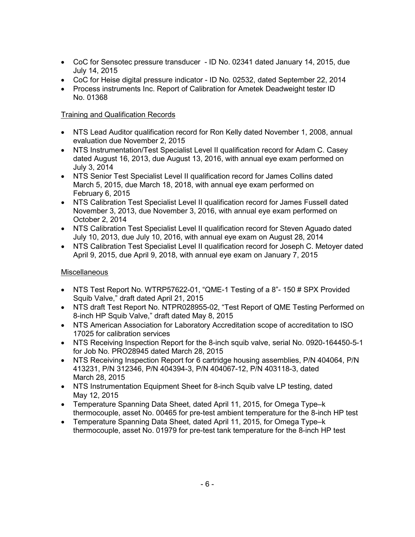- CoC for Sensotec pressure transducer ID No. 02341 dated January 14, 2015, due July 14, 2015
- CoC for Heise digital pressure indicator ID No. 02532, dated September 22, 2014
- Process instruments Inc. Report of Calibration for Ametek Deadweight tester ID No. 01368

## Training and Qualification Records

- NTS Lead Auditor qualification record for Ron Kelly dated November 1, 2008, annual evaluation due November 2, 2015
- NTS Instrumentation/Test Specialist Level II qualification record for Adam C. Casey dated August 16, 2013, due August 13, 2016, with annual eye exam performed on July 3, 2014
- NTS Senior Test Specialist Level II qualification record for James Collins dated March 5, 2015, due March 18, 2018, with annual eye exam performed on February 6, 2015
- NTS Calibration Test Specialist Level II qualification record for James Fussell dated November 3, 2013, due November 3, 2016, with annual eye exam performed on October 2, 2014
- NTS Calibration Test Specialist Level II qualification record for Steven Aquado dated July 10, 2013, due July 10, 2016, with annual eye exam on August 28, 2014
- NTS Calibration Test Specialist Level II qualification record for Joseph C. Metoyer dated April 9, 2015, due April 9, 2018, with annual eye exam on January 7, 2015

## **Miscellaneous**

- NTS Test Report No. WTRP57622-01, "QME-1 Testing of a 8"- 150 # SPX Provided Squib Valve," draft dated April 21, 2015
- NTS draft Test Report No. NTPR028955-02, "Test Report of QME Testing Performed on 8-inch HP Squib Valve," draft dated May 8, 2015
- NTS American Association for Laboratory Accreditation scope of accreditation to ISO 17025 for calibration services
- NTS Receiving Inspection Report for the 8-inch squib valve, serial No. 0920-164450-5-1 for Job No. PRO28945 dated March 28, 2015
- NTS Receiving Inspection Report for 6 cartridge housing assemblies, P/N 404064, P/N 413231, P/N 312346, P/N 404394-3, P/N 404067-12, P/N 403118-3, dated March 28, 2015
- NTS Instrumentation Equipment Sheet for 8-inch Squib valve LP testing, dated May 12, 2015
- Temperature Spanning Data Sheet, dated April 11, 2015, for Omega Type–k thermocouple, asset No. 00465 for pre-test ambient temperature for the 8-inch HP test
- Temperature Spanning Data Sheet, dated April 11, 2015, for Omega Type–k thermocouple, asset No. 01979 for pre-test tank temperature for the 8-inch HP test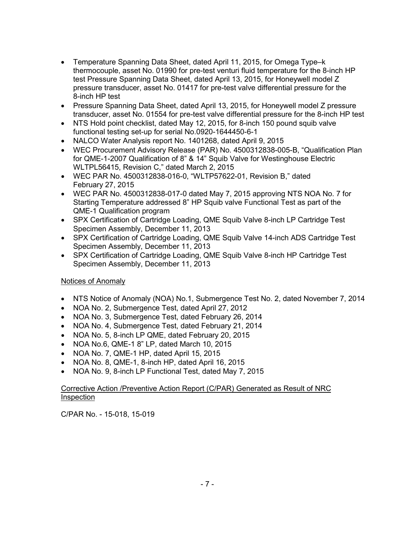- Temperature Spanning Data Sheet, dated April 11, 2015, for Omega Type–k thermocouple, asset No. 01990 for pre-test venturi fluid temperature for the 8-inch HP test Pressure Spanning Data Sheet, dated April 13, 2015, for Honeywell model Z pressure transducer, asset No. 01417 for pre-test valve differential pressure for the 8-inch HP test
- Pressure Spanning Data Sheet, dated April 13, 2015, for Honeywell model Z pressure transducer, asset No. 01554 for pre-test valve differential pressure for the 8-inch HP test
- NTS Hold point checklist, dated May 12, 2015, for 8-inch 150 pound squib valve functional testing set-up for serial No.0920-1644450-6-1
- NALCO Water Analysis report No. 1401268, dated April 9, 2015
- WEC Procurement Advisory Release (PAR) No. 4500312838-005-B, "Qualification Plan for QME-1-2007 Qualification of 8" & 14" Squib Valve for Westinghouse Electric WLTPL56415, Revision C," dated March 2, 2015
- WEC PAR No. 4500312838-016-0, "WLTP57622-01, Revision B," dated February 27, 2015
- WEC PAR No. 4500312838-017-0 dated May 7, 2015 approving NTS NOA No. 7 for Starting Temperature addressed 8" HP Squib valve Functional Test as part of the QME-1 Qualification program
- SPX Certification of Cartridge Loading, QME Squib Valve 8-inch LP Cartridge Test Specimen Assembly, December 11, 2013
- SPX Certification of Cartridge Loading, QME Squib Valve 14-inch ADS Cartridge Test Specimen Assembly, December 11, 2013
- SPX Certification of Cartridge Loading, QME Squib Valve 8-inch HP Cartridge Test Specimen Assembly, December 11, 2013

## Notices of Anomaly

- NTS Notice of Anomaly (NOA) No.1, Submergence Test No. 2, dated November 7, 2014
- NOA No. 2, Submergence Test, dated April 27, 2012
- NOA No. 3, Submergence Test, dated February 26, 2014
- NOA No. 4, Submergence Test, dated February 21, 2014
- NOA No. 5, 8-inch LP QME, dated February 20, 2015
- NOA No.6, QME-1 8" LP, dated March 10, 2015
- NOA No. 7, QME-1 HP, dated April 15, 2015
- NOA No. 8, QME-1, 8-inch HP, dated April 16, 2015
- NOA No. 9, 8-inch LP Functional Test, dated May 7, 2015

### Corrective Action /Preventive Action Report (C/PAR) Generated as Result of NRC Inspection

C/PAR No. - 15-018, 15-019